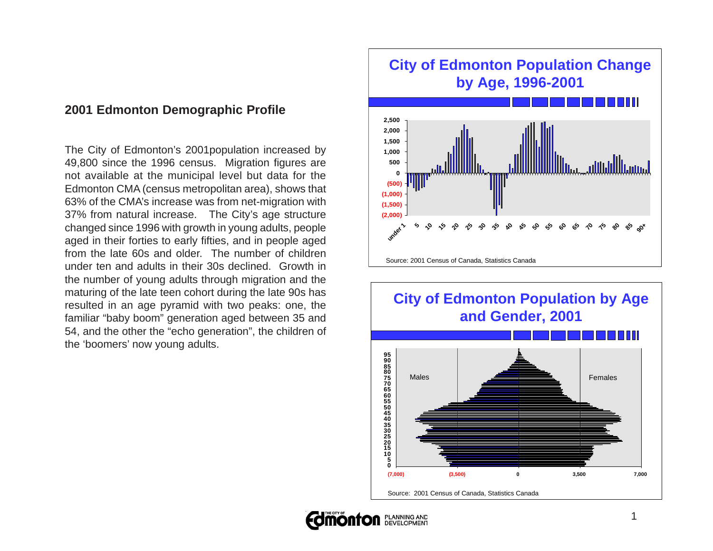### **2001 Edmonton Demographic Profile**

The City of Edmonton's 2001population increased by 49,800 since the 1996 census. Migration figures are not available at the municipal level but data for the Edmonton CMA (census metropolitan area), shows that 63% of the CMA's increase was from net-migration with 37% from natural increase. The City's age structure changed since 1996 with growth in young adults, people aged in their forties to early fifties, and in people aged from the late 60s and older. The number of children under ten and adults in their 30s declined. Growth in the number of young adults through migration and the maturing of the late teen cohort during the late 90s has resulted in an age pyramid with two peaks: one, the familiar "baby boom" generation aged between 35 and 54, and the other the "echo generation", the children of the 'boomers' now young adults.



## **City of Edmonton Population by Age and Gender, 2001**



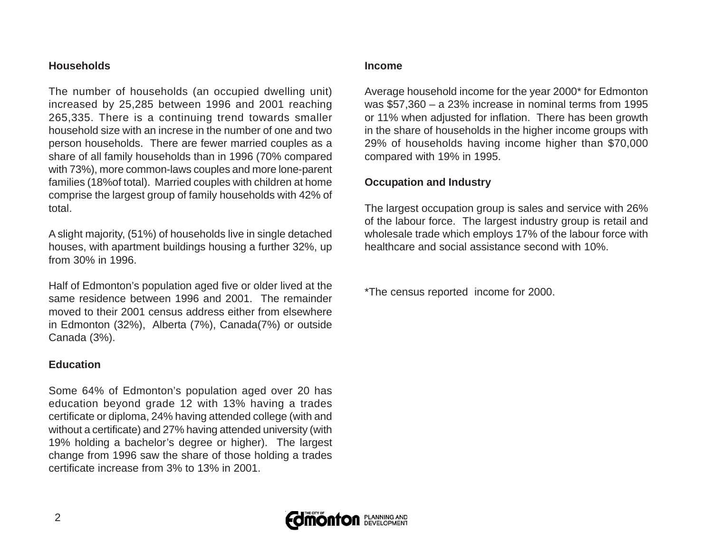#### **Households**

The number of households (an occupied dwelling unit) increased by 25,285 between 1996 and 2001 reaching 265,335. There is a continuing trend towards smaller household size with an increse in the number of one and two person households. There are fewer married couples as a share of all family households than in 1996 (70% compared with 73%), more common-laws couples and more lone-parent families (18%of total). Married couples with children at home comprise the largest group of family households with 42% of total.

A slight majority, (51%) of households live in single detached houses, with apartment buildings housing a further 32%, up from 30% in 1996.

Half of Edmonton's population aged five or older lived at the same residence between 1996 and 2001. The remainder moved to their 2001 census address either from elsewhere in Edmonton (32%), Alberta (7%), Canada(7%) or outside Canada (3%).

#### **Education**

Some 64% of Edmonton's population aged over 20 has education beyond grade 12 with 13% having a trades certificate or diploma, 24% having attended college (with and without a certificate) and 27% having attended university (with 19% holding a bachelor's degree or higher). The largest change from 1996 saw the share of those holding a trades certificate increase from 3% to 13% in 2001.

#### **Income**

Average household income for the year 2000\* for Edmonton was \$57,360 – a 23% increase in nominal terms from 1995 or 11% when adjusted for inflation. There has been growth in the share of households in the higher income groups with 29% of households having income higher than \$70,000 compared with 19% in 1995.

#### **Occupation and Industry**

The largest occupation group is sales and service with 26% of the labour force. The largest industry group is retail and wholesale trade which employs 17% of the labour force with healthcare and social assistance second with 10%.

\*The census reported income for 2000.

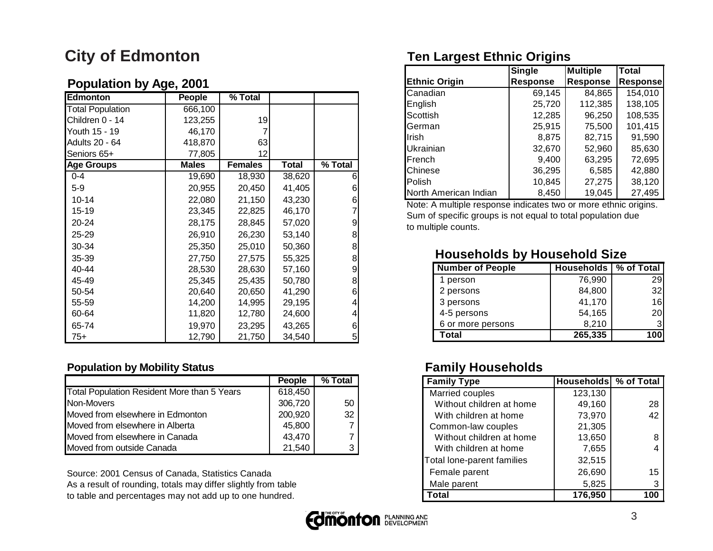# **City of Edmonton**

### **Population by Age, 2001**

| Edmonton                | People       | $\sqrt{8}$ Total |              |         |
|-------------------------|--------------|------------------|--------------|---------|
| <b>Total Population</b> | 666,100      |                  |              |         |
| Children 0 - 14         | 123,255      | 19               |              |         |
| Youth 15 - 19           | 46,170       |                  |              |         |
| Adults 20 - 64          | 418,870      | 63               |              |         |
| Seniors 65+             | 77,805       | 12               |              |         |
| <b>Age Groups</b>       | <b>Males</b> | <b>Females</b>   | <b>Total</b> | % Total |
| $0 - 4$                 | 19,690       | 18,930           | 38,620       | 6       |
| $5-9$                   | 20,955       | 20,450           | 41,405       | 6       |
| $10 - 14$               | 22,080       | 21,150           | 43,230       | 6       |
| $15 - 19$               | 23,345       | 22,825           | 46,170       |         |
| 20-24                   | 28,175       | 28,845           | 57,020       | 9       |
| 25-29                   | 26,910       | 26,230           | 53,140       | 8       |
| 30-34                   | 25,350       | 25,010           | 50,360       | 8       |
| 35-39                   | 27,750       | 27,575           | 55,325       | 8       |
| 40-44                   | 28,530       | 28,630           | 57,160       | 9       |
| 45-49                   | 25,345       | 25,435           | 50,780       | 8       |
| 50-54                   | 20,640       | 20,650           | 41,290       | 6       |
| 55-59                   | 14,200       | 14,995           | 29,195       |         |
| 60-64                   | 11,820       | 12,780           | 24,600       |         |
| 65-74                   | 19,970       | 23,295           | 43,265       | 6       |
| $75+$                   | 12,790       | 21,750           | 34,540       | 5       |

#### **Population by Mobility Status**

|                                             | <b>People</b> | % Total |
|---------------------------------------------|---------------|---------|
| Total Population Resident More than 5 Years | 618,450       |         |
| Non-Movers                                  | 306,720       | 50      |
| Moved from elsewhere in Edmonton            | 200,920       | 32      |
| Moved from elsewhere in Alberta             | 45,800        |         |
| Moved from elsewhere in Canada              | 43,470        | 7       |
| Moved from outside Canada                   | 21,540        | 3       |

Source: 2001 Census of Canada, Statistics Canada As a result of rounding, totals may differ slightly from table to table and percentages may not add up to one hundred.

# **Ten Largest Ethnic Origins**

|                       | <b>Single</b>   | <b>Multiple</b> | <b>Total</b>    |
|-----------------------|-----------------|-----------------|-----------------|
| <b>Ethnic Origin</b>  | <b>Response</b> | <b>Response</b> | <b>Response</b> |
| Canadian              | 69,145          | 84,865          | 154,010         |
| English               | 25,720          | 112,385         | 138,105         |
| Scottish              | 12,285          | 96,250          | 108,535         |
| German                | 25,915          | 75,500          | 101,415         |
| Irish                 | 8,875           | 82,715          | 91,590          |
| <b>Ukrainian</b>      | 32,670          | 52,960          | 85,630          |
| French                | 9.400           | 63,295          | 72,695          |
| Chinese               | 36,295          | 6,585           | 42,880          |
| Polish                | 10,845          | 27,275          | 38,120          |
| North American Indian | 8,450           | 19,045          | 27,495          |

Note: A multiple response indicates two or more ethnic origins. Sum of specific groups is not equal to total population due to multiple counts.

### **Households by Household Size**

| <b>Number of People</b> | Households   % of Total |                 |
|-------------------------|-------------------------|-----------------|
| 1 person                | 76,990                  | 29 <sub>1</sub> |
| 2 persons               | 84,800                  | 32              |
| 3 persons               | 41,170                  | 16              |
| 4-5 persons             | 54,165                  | 20              |
| 6 or more persons       | 8,210                   |                 |
| Total                   | 265,335                 | 100             |

## **Family Households**

| <b>Family Type</b>         | <b>Households</b> % of Total |     |
|----------------------------|------------------------------|-----|
| Married couples            | 123,130                      |     |
| Without children at home   | 49,160                       | 28  |
| With children at home      | 73,970                       | 42  |
| Common-law couples         | 21,305                       |     |
| Without children at home   | 13,650                       |     |
| With children at home      | 7,655                        |     |
| Total lone-parent families | 32,515                       |     |
| Female parent              | 26,690                       | 15  |
| Male parent                | 5,825                        | 3   |
| Total                      | 176,950                      | 100 |

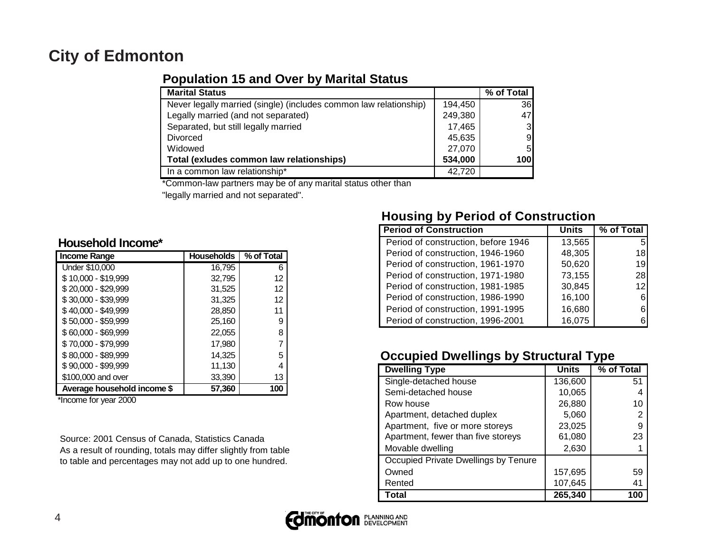## **City of Edmonton**

### **Population 15 and Over by Marital Status**

| <b>Marital Status</b>                                             |         | % of Total     |
|-------------------------------------------------------------------|---------|----------------|
| Never legally married (single) (includes common law relationship) | 194,450 | 36             |
| Legally married (and not separated)                               | 249,380 | 47             |
| Separated, but still legally married                              | 17,465  | 3 <sub>l</sub> |
| <b>Divorced</b>                                                   | 45,635  | 9 <sub>l</sub> |
| Widowed                                                           | 27,070  | 5              |
| Total (exludes common law relationships)                          | 534,000 | 100            |
| In a common law relationship*                                     | 42,720  |                |

\*Common-law partners may be of any marital status other than

"legally married and not separated".

#### **Household Income\***

| <b>Income Range</b>         | <b>Households</b> | % of Total |
|-----------------------------|-------------------|------------|
| Under \$10,000              | 16.795            | 6          |
| \$10,000 - \$19,999         | 32,795            | 12         |
| \$20,000 - \$29,999         | 31,525            | 12         |
| \$30,000 - \$39,999         | 31,325            | 12         |
| \$40,000 - \$49,999         | 28,850            | 11         |
| $$50,000 - $59,999$         | 25,160            | 9          |
| \$60,000 - \$69,999         | 22,055            | 8          |
| \$70,000 - \$79,999         | 17,980            | 7          |
| \$80,000 - \$89,999         | 14.325            | 5          |
| \$90,000 - \$99,999         | 11,130            | 4          |
| \$100,000 and over          | 33,390            | 13         |
| Average household income \$ | 57,360            | 100        |

\*Income for year 2000

Source: 2001 Census of Canada, Statistics Canada As a result of rounding, totals may differ slightly from table to table and percentages may not add up to one hundred.

## **Housing by Period of Construction**

| <b>Period of Construction</b>       | Units  | % of Total      |
|-------------------------------------|--------|-----------------|
| Period of construction, before 1946 | 13,565 | 5               |
| Period of construction, 1946-1960   | 48,305 | 18              |
| Period of construction, 1961-1970   | 50,620 | 19              |
| Period of construction, 1971-1980   | 73,155 | 28I             |
| Period of construction, 1981-1985   | 30,845 | 12 <sub>1</sub> |
| Period of construction, 1986-1990   | 16,100 |                 |
| Period of construction, 1991-1995   | 16,680 |                 |
| Period of construction, 1996-2001   | 16,075 |                 |

## **Occupied Dwellings by Structural Type**

| <b>Dwelling Type</b>                 | <b>Units</b> | . .<br>% of Total |
|--------------------------------------|--------------|-------------------|
| Single-detached house                | 136,600      | 51                |
| Semi-detached house                  | 10,065       | 4                 |
| Row house                            | 26,880       | 10                |
| Apartment, detached duplex           | 5,060        | 2                 |
| Apartment, five or more storeys      | 23,025       | 9                 |
| Apartment, fewer than five storeys   | 61,080       | 23                |
| Movable dwelling                     | 2,630        |                   |
| Occupied Private Dwellings by Tenure |              |                   |
| Owned                                | 157,695      | 59                |
| Rented                               | 107,645      | 41                |
| <b>Total</b>                         | 265,340      | 100               |